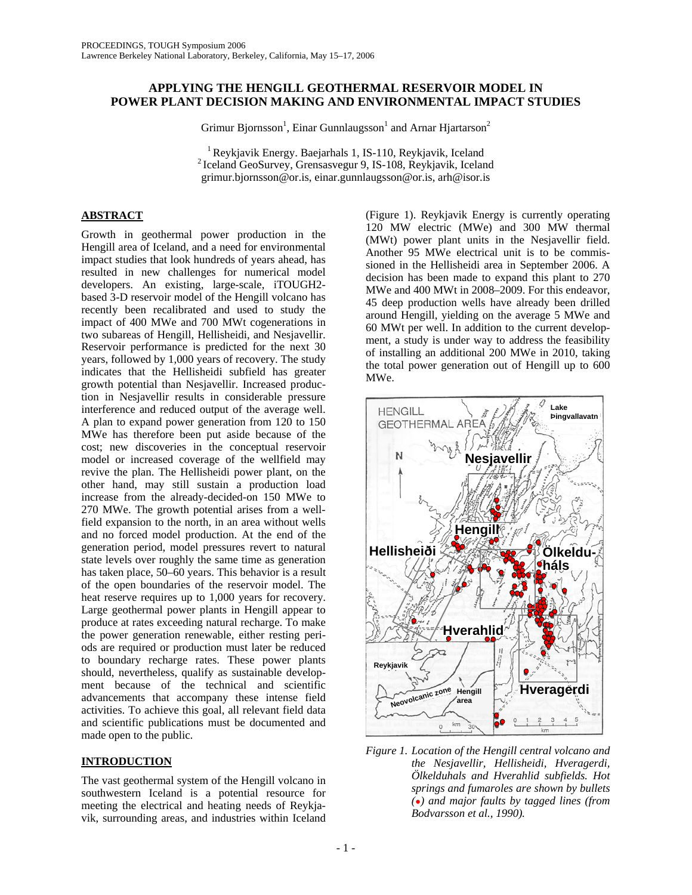## **APPLYING THE HENGILL GEOTHERMAL RESERVOIR MODEL IN POWER PLANT DECISION MAKING AND ENVIRONMENTAL IMPACT STUDIES**

Grimur Bjornsson<sup>1</sup>, Einar Gunnlaugsson<sup>1</sup> and Arnar Hjartarson<sup>2</sup>

<sup>1</sup> Reykjavik Energy. Baejarhals 1, IS-110, Reykjavik, Iceland  $2$  Iceland GeoSurvey, Grensasvegur 9, IS-108, Reykjavik, Iceland grimur.bjornsson@or.is, einar.gunnlaugsson@or.is, arh@isor.is

## **ABSTRACT**

Growth in geothermal power production in the Hengill area of Iceland, and a need for environmental impact studies that look hundreds of years ahead, has resulted in new challenges for numerical model developers. An existing, large-scale, iTOUGH2 based 3-D reservoir model of the Hengill volcano has recently been recalibrated and used to study the impact of 400 MWe and 700 MWt cogenerations in two subareas of Hengill, Hellisheidi, and Nesjavellir. Reservoir performance is predicted for the next 30 years, followed by 1,000 years of recovery. The study indicates that the Hellisheidi subfield has greater growth potential than Nesjavellir. Increased production in Nesjavellir results in considerable pressure interference and reduced output of the average well. A plan to expand power generation from 120 to 150 MWe has therefore been put aside because of the cost; new discoveries in the conceptual reservoir model or increased coverage of the wellfield may revive the plan. The Hellisheidi power plant, on the other hand, may still sustain a production load increase from the already-decided-on 150 MWe to 270 MWe. The growth potential arises from a wellfield expansion to the north, in an area without wells and no forced model production. At the end of the generation period, model pressures revert to natural state levels over roughly the same time as generation has taken place, 50–60 years. This behavior is a result of the open boundaries of the reservoir model. The heat reserve requires up to 1,000 years for recovery. Large geothermal power plants in Hengill appear to produce at rates exceeding natural recharge. To make the power generation renewable, either resting periods are required or production must later be reduced to boundary recharge rates. These power plants should, nevertheless, qualify as sustainable development because of the technical and scientific advancements that accompany these intense field activities. To achieve this goal, all relevant field data and scientific publications must be documented and made open to the public.

# **INTRODUCTION**

The vast geothermal system of the Hengill volcano in southwestern Iceland is a potential resource for meeting the electrical and heating needs of Reykjavik, surrounding areas, and industries within Iceland

(Figure 1). Reykjavik Energy is currently operating 120 MW electric (MWe) and 300 MW thermal (MWt) power plant units in the Nesjavellir field. Another 95 MWe electrical unit is to be commissioned in the Hellisheidi area in September 2006. A decision has been made to expand this plant to 270 MWe and 400 MWt in 2008–2009. For this endeavor, 45 deep production wells have already been drilled around Hengill, yielding on the average 5 MWe and 60 MWt per well. In addition to the current development, a study is under way to address the feasibility of installing an additional 200 MWe in 2010, taking the total power generation out of Hengill up to 600 MWe.



*Figure 1. Location of the Hengill central volcano and the Nesjavellir, Hellisheidi, Hveragerdi, Ölkelduhals and Hverahlid subfields. Hot springs and fumaroles are shown by bullets (●) and major faults by tagged lines (from Bodvarsson et al., 1990).*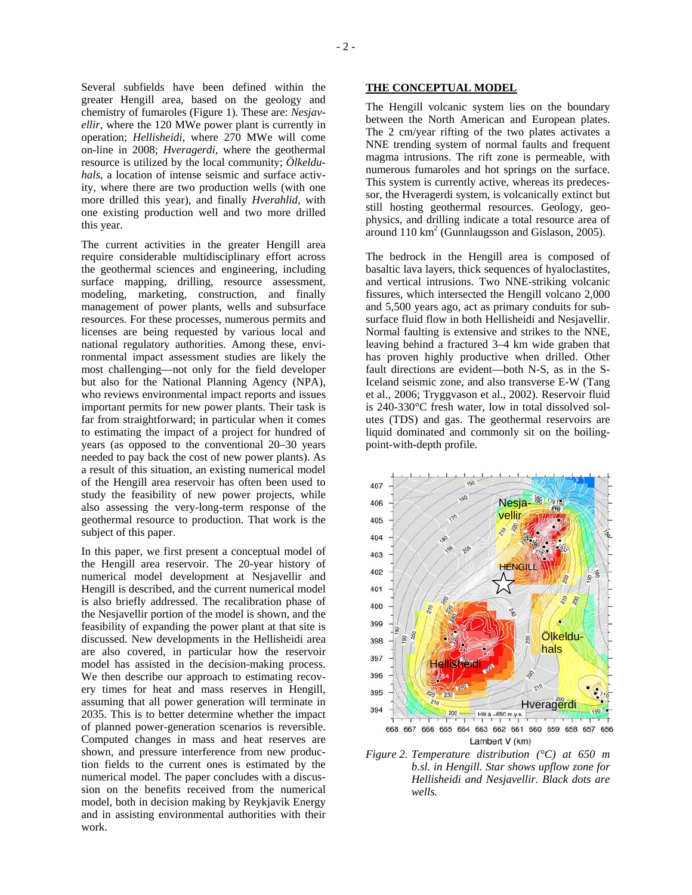Several subfields have been defined within the greater Hengill area, based on the geology and chemistry of fumaroles (Figure 1). These are: *Nesjavellir*, where the 120 MWe power plant is currently in operation; *Hellisheidi*, where 270 MWe will come on-line in 2008; *Hveragerdi*, where the geothermal resource is utilized by the local community; *Ölkelduhals*, a location of intense seismic and surface activity, where there are two production wells (with one more drilled this year), and finally *Hverahlid*, with one existing production well and two more drilled this year.

The current activities in the greater Hengill area require considerable multidisciplinary effort across the geothermal sciences and engineering, including surface mapping, drilling, resource assessment, modeling, marketing, construction, and finally management of power plants, wells and subsurface resources. For these processes, numerous permits and licenses are being requested by various local and national regulatory authorities. Among these, environmental impact assessment studies are likely the most challenging—not only for the field developer but also for the National Planning Agency (NPA), who reviews environmental impact reports and issues important permits for new power plants. Their task is far from straightforward; in particular when it comes to estimating the impact of a project for hundred of years (as opposed to the conventional 20–30 years needed to pay back the cost of new power plants). As a result of this situation, an existing numerical model of the Hengill area reservoir has often been used to study the feasibility of new power projects, while also assessing the very-long-term response of the geothermal resource to production. That work is the subject of this paper.

In this paper, we first present a conceptual model of the Hengill area reservoir. The 20-year history of numerical model development at Nesjavellir and Hengill is described, and the current numerical model is also briefly addressed. The recalibration phase of the Nesjavellir portion of the model is shown, and the feasibility of expanding the power plant at that site is discussed. New developments in the Hellisheidi area are also covered, in particular how the reservoir model has assisted in the decision-making process. We then describe our approach to estimating recovery times for heat and mass reserves in Hengill, assuming that all power generation will terminate in 2035. This is to better determine whether the impact of planned power-generation scenarios is reversible. Computed changes in mass and heat reserves are shown, and pressure interference from new production fields to the current ones is estimated by the numerical model. The paper concludes with a discussion on the benefits received from the numerical model, both in decision making by Reykjavik Energy and in assisting environmental authorities with their work.

#### **THE CONCEPTUAL MODEL**

The Hengill volcanic system lies on the boundary between the North American and European plates. The 2 cm/year rifting of the two plates activates a NNE trending system of normal faults and frequent magma intrusions. The rift zone is permeable, with numerous fumaroles and hot springs on the surface. This system is currently active, whereas its predecessor, the Hveragerdi system, is volcanically extinct but still hosting geothermal resources. Geology, geophysics, and drilling indicate a total resource area of around  $110 \text{ km}^2$  (Gunnlaugsson and Gislason, 2005).

The bedrock in the Hengill area is composed of basaltic lava layers, thick sequences of hyaloclastites, and vertical intrusions. Two NNE-striking volcanic fissures, which intersected the Hengill volcano 2,000 and 5,500 years ago, act as primary conduits for subsurface fluid flow in both Hellisheidi and Nesjavellir. Normal faulting is extensive and strikes to the NNE, leaving behind a fractured 3–4 km wide graben that has proven highly productive when drilled. Other fault directions are evident—both N-S, as in the S-Iceland seismic zone, and also transverse E-W (Tang et al., 2006; Tryggvason et al., 2002). Reservoir fluid is 240-330°C fresh water, low in total dissolved solutes (TDS) and gas. The geothermal reservoirs are liquid dominated and commonly sit on the boilingpoint-with**-**depth profile.



*Figure 2. Temperature distribution (°C) at 650 m b.sl. in Hengill. Star shows upflow zone for Hellisheidi and Nesjavellir. Black dots are wells.*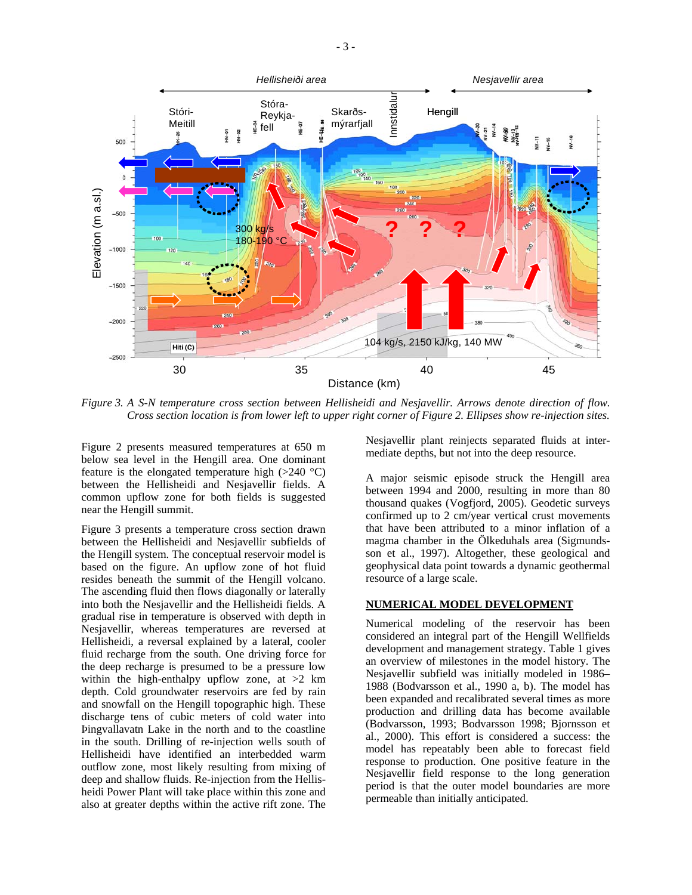

*Figure 3. A S-N temperature cross section between Hellisheidi and Nesjavellir. Arrows denote direction of flow. Cross section location is from lower left to upper right corner of Figure 2. Ellipses show re-injection sites.* 

Figure 2 presents measured temperatures at 650 m below sea level in the Hengill area. One dominant feature is the elongated temperature high  $(>240 \degree C)$ between the Hellisheidi and Nesjavellir fields. A common upflow zone for both fields is suggested near the Hengill summit.

Figure 3 presents a temperature cross section drawn between the Hellisheidi and Nesjavellir subfields of the Hengill system. The conceptual reservoir model is based on the figure. An upflow zone of hot fluid resides beneath the summit of the Hengill volcano. The ascending fluid then flows diagonally or laterally into both the Nesjavellir and the Hellisheidi fields. A gradual rise in temperature is observed with depth in Nesjavellir, whereas temperatures are reversed at Hellisheidi, a reversal explained by a lateral, cooler fluid recharge from the south. One driving force for the deep recharge is presumed to be a pressure low within the high-enthalpy upflow zone, at  $>2$  km depth. Cold groundwater reservoirs are fed by rain and snowfall on the Hengill topographic high. These discharge tens of cubic meters of cold water into Þingvallavatn Lake in the north and to the coastline in the south. Drilling of re-injection wells south of Hellisheidi have identified an interbedded warm outflow zone, most likely resulting from mixing of deep and shallow fluids. Re-injection from the Hellisheidi Power Plant will take place within this zone and also at greater depths within the active rift zone. The

Nesjavellir plant reinjects separated fluids at intermediate depths, but not into the deep resource.

A major seismic episode struck the Hengill area between 1994 and 2000, resulting in more than 80 thousand quakes (Vogfjord, 2005). Geodetic surveys confirmed up to 2 cm/year vertical crust movements that have been attributed to a minor inflation of a magma chamber in the Ölkeduhals area (Sigmundsson et al., 1997). Altogether, these geological and geophysical data point towards a dynamic geothermal resource of a large scale.

#### **NUMERICAL MODEL DEVELOPMENT**

Numerical modeling of the reservoir has been considered an integral part of the Hengill Wellfields development and management strategy. Table 1 gives an overview of milestones in the model history. The Nesjavellir subfield was initially modeled in 1986– 1988 (Bodvarsson et al., 1990 a, b). The model has been expanded and recalibrated several times as more production and drilling data has become available (Bodvarsson, 1993; Bodvarsson 1998; Bjornsson et al., 2000). This effort is considered a success: the model has repeatably been able to forecast field response to production. One positive feature in the Nesjavellir field response to the long generation period is that the outer model boundaries are more permeable than initially anticipated.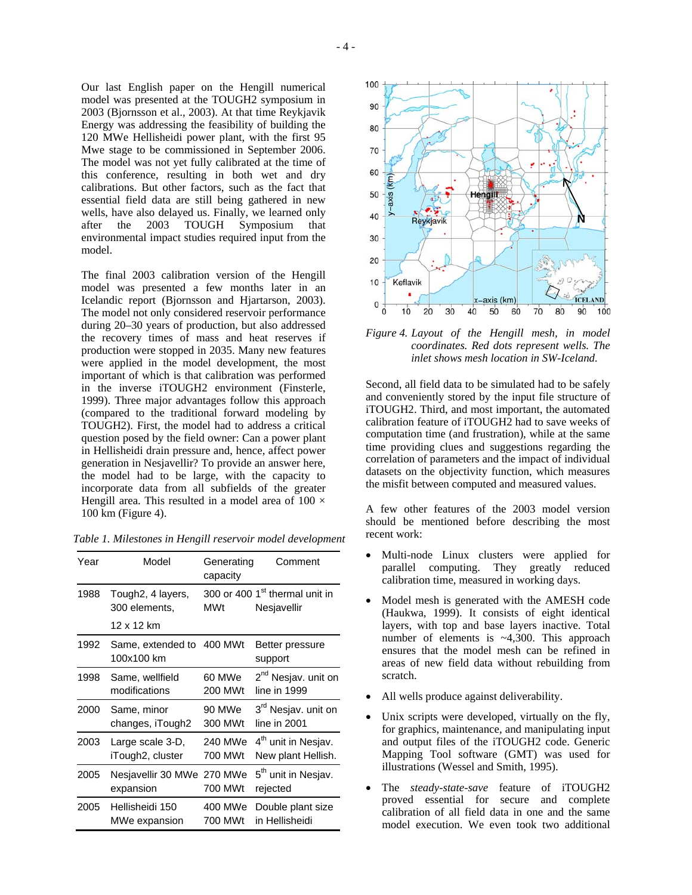Our last English paper on the Hengill numerical model was presented at the TOUGH2 symposium in 2003 (Bjornsson et al., 2003). At that time Reykjavik Energy was addressing the feasibility of building the 120 MWe Hellisheidi power plant, with the first 95 Mwe stage to be commissioned in September 2006. The model was not yet fully calibrated at the time of this conference, resulting in both wet and dry calibrations. But other factors, such as the fact that essential field data are still being gathered in new wells, have also delayed us. Finally, we learned only after the 2003 TOUGH Symposium that environmental impact studies required input from the model.

The final 2003 calibration version of the Hengill model was presented a few months later in an Icelandic report (Bjornsson and Hjartarson, 2003). The model not only considered reservoir performance during 20–30 years of production, but also addressed the recovery times of mass and heat reserves if production were stopped in 2035. Many new features were applied in the model development, the most important of which is that calibration was performed in the inverse iTOUGH2 environment (Finsterle, 1999). Three major advantages follow this approach (compared to the traditional forward modeling by TOUGH2). First, the model had to address a critical question posed by the field owner: Can a power plant in Hellisheidi drain pressure and, hence, affect power generation in Nesjavellir? To provide an answer here, the model had to be large, with the capacity to incorporate data from all subfields of the greater Hengill area. This resulted in a model area of  $100 \times$ 100 km (Figure 4).

| Year | Model                              | Generating<br>capacity | Comment                                                   |
|------|------------------------------------|------------------------|-----------------------------------------------------------|
| 1988 | Tough2, 4 layers,<br>300 elements, | <b>MWt</b>             | 300 or 400 1 <sup>st</sup> thermal unit in<br>Nesjavellir |
|      | 12 x 12 km                         |                        |                                                           |
| 1992 | Same, extended to<br>100x100 km    | 400 MWt                | Better pressure<br>support                                |
| 1998 | Same, wellfield                    | 60 MWe                 | 2 <sup>nd</sup> Nesjav. unit on                           |
|      | modifications                      | 200 MWt                | line in 1999                                              |
| 2000 | Same, minor                        | 90 MWe                 | 3 <sup>rd</sup> Nesjav. unit on                           |
|      | changes, iTough2                   | 300 MWt                | line in 2001                                              |
| 2003 | Large scale 3-D,                   | 240 MWe                | 4 <sup>th</sup> unit in Nesjav.                           |
|      | iTough2, cluster                   | 700 MWt                | New plant Hellish.                                        |
| 2005 | Nesjavellir 30 MWe                 | 270 MWe                | 5 <sup>th</sup> unit in Nesjav.                           |
|      | expansion                          | 700 MWt                | rejected                                                  |
| 2005 | Hellisheidi 150                    | 400 MWe                | Double plant size                                         |
|      | MWe expansion                      | 700 MWt                | in Hellisheidi                                            |

*Table 1. Milestones in Hengill reservoir model development*



*Figure 4. Layout of the Hengill mesh, in model coordinates. Red dots represent wells. The inlet shows mesh location in SW-Iceland.* 

Second, all field data to be simulated had to be safely and conveniently stored by the input file structure of iTOUGH2. Third, and most important, the automated calibration feature of iTOUGH2 had to save weeks of computation time (and frustration), while at the same time providing clues and suggestions regarding the correlation of parameters and the impact of individual datasets on the objectivity function, which measures the misfit between computed and measured values.

A few other features of the 2003 model version should be mentioned before describing the most recent work:

- Multi-node Linux clusters were applied for parallel computing. They greatly reduced calibration time, measured in working days.
- Model mesh is generated with the AMESH code (Haukwa, 1999). It consists of eight identical layers, with top and base layers inactive. Total number of elements is ~4,300. This approach ensures that the model mesh can be refined in areas of new field data without rebuilding from scratch.
- All wells produce against deliverability.
- Unix scripts were developed, virtually on the fly, for graphics, maintenance, and manipulating input and output files of the iTOUGH2 code. Generic Mapping Tool software (GMT) was used for illustrations (Wessel and Smith, 1995).
- The *steady-state-save* feature of iTOUGH2 proved essential for secure and complete calibration of all field data in one and the same model execution. We even took two additional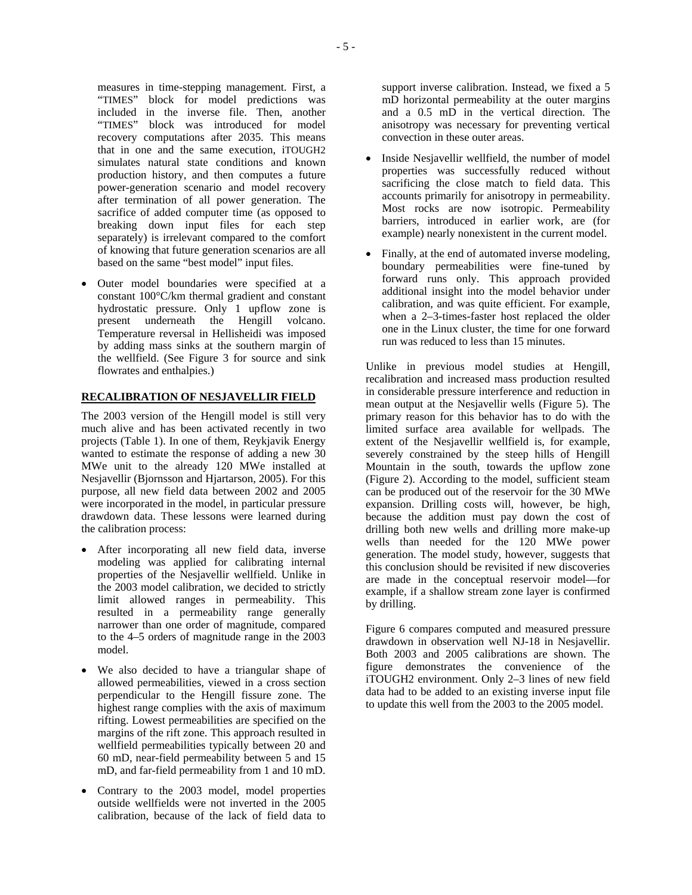measures in time-stepping management. First, a "TIMES" block for model predictions was included in the inverse file. Then, another "TIMES" block was introduced for model recovery computations after 2035. This means that in one and the same execution, iTOUGH2 simulates natural state conditions and known production history, and then computes a future power-generation scenario and model recovery after termination of all power generation. The sacrifice of added computer time (as opposed to breaking down input files for each step separately) is irrelevant compared to the comfort of knowing that future generation scenarios are all based on the same "best model" input files.

Outer model boundaries were specified at a constant 100°C/km thermal gradient and constant hydrostatic pressure. Only 1 upflow zone is present underneath the Hengill volcano. Temperature reversal in Hellisheidi was imposed by adding mass sinks at the southern margin of the wellfield. (See Figure 3 for source and sink flowrates and enthalpies.)

### **RECALIBRATION OF NESJAVELLIR FIELD**

The 2003 version of the Hengill model is still very much alive and has been activated recently in two projects (Table 1). In one of them, Reykjavik Energy wanted to estimate the response of adding a new 30 MWe unit to the already 120 MWe installed at Nesjavellir (Bjornsson and Hjartarson, 2005). For this purpose, all new field data between 2002 and 2005 were incorporated in the model, in particular pressure drawdown data. These lessons were learned during the calibration process:

- After incorporating all new field data, inverse modeling was applied for calibrating internal properties of the Nesjavellir wellfield. Unlike in the 2003 model calibration, we decided to strictly limit allowed ranges in permeability. This resulted in a permeability range generally narrower than one order of magnitude, compared to the 4–5 orders of magnitude range in the 2003 model.
- We also decided to have a triangular shape of allowed permeabilities, viewed in a cross section perpendicular to the Hengill fissure zone. The highest range complies with the axis of maximum rifting. Lowest permeabilities are specified on the margins of the rift zone. This approach resulted in wellfield permeabilities typically between 20 and 60 mD, near-field permeability between 5 and 15 mD, and far-field permeability from 1 and 10 mD.
- Contrary to the 2003 model, model properties outside wellfields were not inverted in the 2005 calibration, because of the lack of field data to

support inverse calibration. Instead, we fixed a 5 mD horizontal permeability at the outer margins and a 0.5 mD in the vertical direction. The anisotropy was necessary for preventing vertical convection in these outer areas.

- Inside Nesiavellir wellfield, the number of model properties was successfully reduced without sacrificing the close match to field data. This accounts primarily for anisotropy in permeability. Most rocks are now isotropic. Permeability barriers, introduced in earlier work, are (for example) nearly nonexistent in the current model.
- Finally, at the end of automated inverse modeling, boundary permeabilities were fine-tuned by forward runs only. This approach provided additional insight into the model behavior under calibration, and was quite efficient. For example, when a 2–3-times-faster host replaced the older one in the Linux cluster, the time for one forward run was reduced to less than 15 minutes.

Unlike in previous model studies at Hengill, recalibration and increased mass production resulted in considerable pressure interference and reduction in mean output at the Nesjavellir wells (Figure 5). The primary reason for this behavior has to do with the limited surface area available for wellpads. The extent of the Nesjavellir wellfield is, for example, severely constrained by the steep hills of Hengill Mountain in the south, towards the upflow zone (Figure 2). According to the model, sufficient steam can be produced out of the reservoir for the 30 MWe expansion. Drilling costs will, however, be high, because the addition must pay down the cost of drilling both new wells and drilling more make-up wells than needed for the 120 MWe power generation. The model study, however, suggests that this conclusion should be revisited if new discoveries are made in the conceptual reservoir model—for example, if a shallow stream zone layer is confirmed by drilling.

Figure 6 compares computed and measured pressure drawdown in observation well NJ-18 in Nesjavellir. Both 2003 and 2005 calibrations are shown. The figure demonstrates the convenience of the iTOUGH2 environment. Only 2–3 lines of new field data had to be added to an existing inverse input file to update this well from the 2003 to the 2005 model.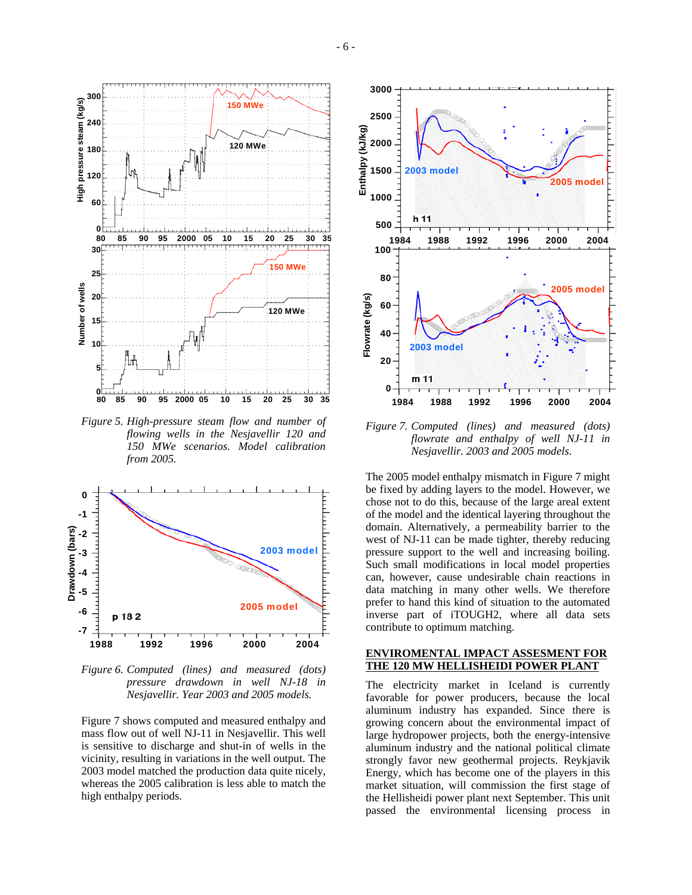

*Figure 5. High-pressure steam flow and number of flowing wells in the Nesjavellir 120 and 150 MWe scenarios. Model calibration from 2005.* 



*Figure 6. Computed (lines) and measured (dots) pressure drawdown in well NJ-18 in Nesjavellir. Year 2003 and 2005 models.* 

Figure 7 shows computed and measured enthalpy and mass flow out of well NJ-11 in Nesjavellir. This well is sensitive to discharge and shut-in of wells in the vicinity, resulting in variations in the well output. The 2003 model matched the production data quite nicely, whereas the 2005 calibration is less able to match the high enthalpy periods.



*Figure 7. Computed (lines) and measured (dots) flowrate and enthalpy of well NJ-11 in Nesjavellir. 2003 and 2005 models.* 

The 2005 model enthalpy mismatch in Figure 7 might be fixed by adding layers to the model. However, we chose not to do this, because of the large areal extent of the model and the identical layering throughout the domain. Alternatively, a permeability barrier to the west of NJ-11 can be made tighter, thereby reducing pressure support to the well and increasing boiling. Such small modifications in local model properties can, however, cause undesirable chain reactions in data matching in many other wells. We therefore prefer to hand this kind of situation to the automated inverse part of iTOUGH2, where all data sets contribute to optimum matching.

#### **ENVIROMENTAL IMPACT ASSESMENT FOR THE 120 MW HELLISHEIDI POWER PLANT**

The electricity market in Iceland is currently favorable for power producers, because the local aluminum industry has expanded. Since there is growing concern about the environmental impact of large hydropower projects, both the energy-intensive aluminum industry and the national political climate strongly favor new geothermal projects. Reykjavik Energy, which has become one of the players in this market situation, will commission the first stage of the Hellisheidi power plant next September. This unit passed the environmental licensing process in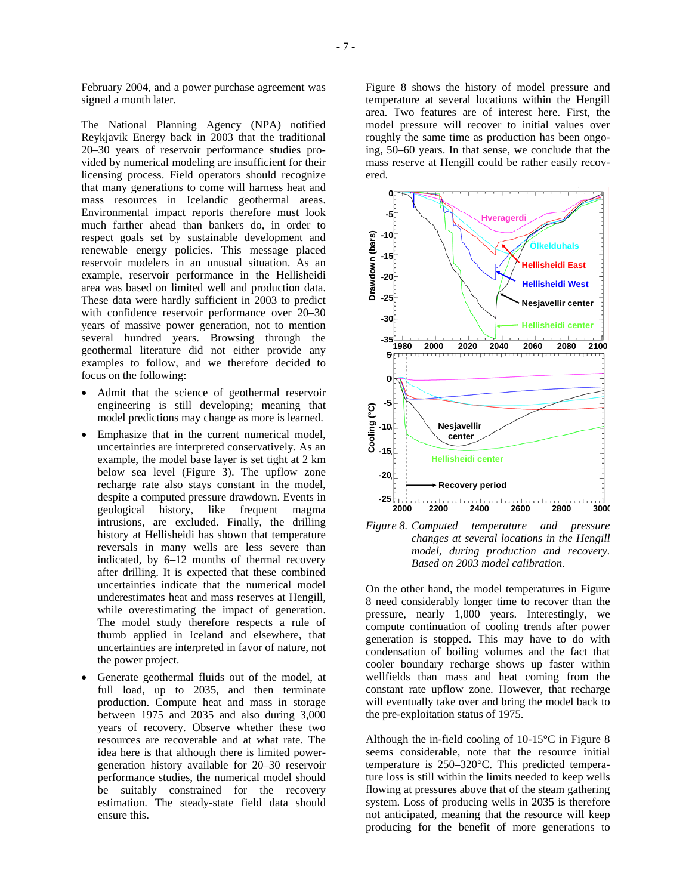February 2004, and a power purchase agreement was signed a month later.

The National Planning Agency (NPA) notified Reykjavik Energy back in 2003 that the traditional 20–30 years of reservoir performance studies provided by numerical modeling are insufficient for their licensing process. Field operators should recognize that many generations to come will harness heat and mass resources in Icelandic geothermal areas. Environmental impact reports therefore must look much farther ahead than bankers do, in order to respect goals set by sustainable development and renewable energy policies. This message placed reservoir modelers in an unusual situation. As an example, reservoir performance in the Hellisheidi area was based on limited well and production data. These data were hardly sufficient in 2003 to predict with confidence reservoir performance over 20–30 years of massive power generation, not to mention several hundred years. Browsing through the geothermal literature did not either provide any examples to follow, and we therefore decided to focus on the following:

- Admit that the science of geothermal reservoir engineering is still developing; meaning that model predictions may change as more is learned.
- Emphasize that in the current numerical model, uncertainties are interpreted conservatively. As an example, the model base layer is set tight at 2 km below sea level (Figure 3). The upflow zone recharge rate also stays constant in the model, despite a computed pressure drawdown. Events in geological history, like frequent magma intrusions, are excluded. Finally, the drilling history at Hellisheidi has shown that temperature reversals in many wells are less severe than indicated, by 6–12 months of thermal recovery after drilling. It is expected that these combined uncertainties indicate that the numerical model underestimates heat and mass reserves at Hengill, while overestimating the impact of generation. The model study therefore respects a rule of thumb applied in Iceland and elsewhere, that uncertainties are interpreted in favor of nature, not the power project.
- Generate geothermal fluids out of the model, at full load, up to 2035, and then terminate production. Compute heat and mass in storage between 1975 and 2035 and also during 3,000 years of recovery. Observe whether these two resources are recoverable and at what rate. The idea here is that although there is limited powergeneration history available for 20–30 reservoir performance studies, the numerical model should be suitably constrained for the recovery estimation. The steady-state field data should ensure this.

Figure 8 shows the history of model pressure and temperature at several locations within the Hengill area. Two features are of interest here. First, the model pressure will recover to initial values over roughly the same time as production has been ongoing, 50–60 years. In that sense, we conclude that the mass reserve at Hengill could be rather easily recovered.



*Figure 8. Computed temperature and pressure changes at several locations in the Hengill model, during production and recovery. Based on 2003 model calibration.* 

On the other hand, the model temperatures in Figure 8 need considerably longer time to recover than the pressure, nearly 1,000 years. Interestingly, we compute continuation of cooling trends after power generation is stopped. This may have to do with condensation of boiling volumes and the fact that cooler boundary recharge shows up faster within wellfields than mass and heat coming from the constant rate upflow zone. However, that recharge will eventually take over and bring the model back to the pre-exploitation status of 1975.

Although the in-field cooling of 10-15°C in Figure 8 seems considerable, note that the resource initial temperature is 250–320°C. This predicted temperature loss is still within the limits needed to keep wells flowing at pressures above that of the steam gathering system. Loss of producing wells in 2035 is therefore not anticipated, meaning that the resource will keep producing for the benefit of more generations to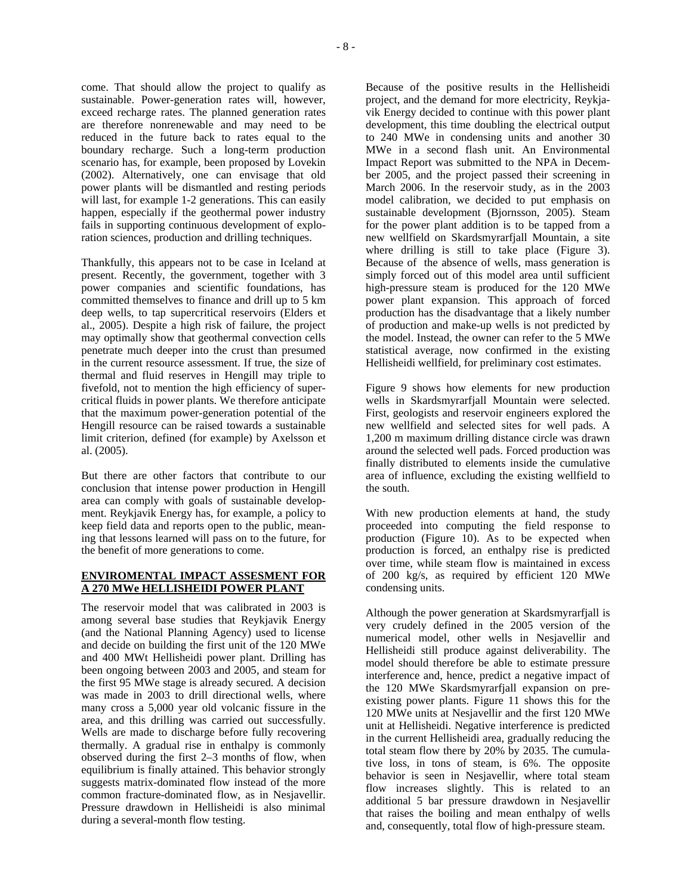come. That should allow the project to qualify as sustainable. Power-generation rates will, however, exceed recharge rates. The planned generation rates are therefore nonrenewable and may need to be reduced in the future back to rates equal to the boundary recharge. Such a long-term production scenario has, for example, been proposed by Lovekin (2002). Alternatively, one can envisage that old power plants will be dismantled and resting periods will last, for example 1-2 generations. This can easily happen, especially if the geothermal power industry fails in supporting continuous development of exploration sciences, production and drilling techniques.

Thankfully, this appears not to be case in Iceland at present. Recently, the government, together with 3 power companies and scientific foundations, has committed themselves to finance and drill up to 5 km deep wells, to tap supercritical reservoirs (Elders et al., 2005). Despite a high risk of failure, the project may optimally show that geothermal convection cells penetrate much deeper into the crust than presumed in the current resource assessment. If true, the size of thermal and fluid reserves in Hengill may triple to fivefold, not to mention the high efficiency of supercritical fluids in power plants. We therefore anticipate that the maximum power-generation potential of the Hengill resource can be raised towards a sustainable limit criterion, defined (for example) by Axelsson et al. (2005).

But there are other factors that contribute to our conclusion that intense power production in Hengill area can comply with goals of sustainable development. Reykjavik Energy has, for example, a policy to keep field data and reports open to the public, meaning that lessons learned will pass on to the future, for the benefit of more generations to come.

#### **ENVIROMENTAL IMPACT ASSESMENT FOR A 270 MWe HELLISHEIDI POWER PLANT**

The reservoir model that was calibrated in 2003 is among several base studies that Reykjavik Energy (and the National Planning Agency) used to license and decide on building the first unit of the 120 MWe and 400 MWt Hellisheidi power plant. Drilling has been ongoing between 2003 and 2005, and steam for the first 95 MWe stage is already secured. A decision was made in 2003 to drill directional wells, where many cross a 5,000 year old volcanic fissure in the area, and this drilling was carried out successfully. Wells are made to discharge before fully recovering thermally. A gradual rise in enthalpy is commonly observed during the first 2–3 months of flow, when equilibrium is finally attained. This behavior strongly suggests matrix-dominated flow instead of the more common fracture-dominated flow, as in Nesjavellir. Pressure drawdown in Hellisheidi is also minimal during a several-month flow testing.

Because of the positive results in the Hellisheidi project, and the demand for more electricity, Reykjavik Energy decided to continue with this power plant development, this time doubling the electrical output to 240 MWe in condensing units and another 30 MWe in a second flash unit. An Environmental Impact Report was submitted to the NPA in December 2005, and the project passed their screening in March 2006. In the reservoir study, as in the 2003 model calibration, we decided to put emphasis on sustainable development (Bjornsson, 2005). Steam for the power plant addition is to be tapped from a new wellfield on Skardsmyrarfjall Mountain, a site where drilling is still to take place (Figure 3). Because of the absence of wells, mass generation is simply forced out of this model area until sufficient high-pressure steam is produced for the 120 MWe power plant expansion. This approach of forced production has the disadvantage that a likely number of production and make-up wells is not predicted by the model. Instead, the owner can refer to the 5 MWe statistical average, now confirmed in the existing Hellisheidi wellfield, for preliminary cost estimates.

Figure 9 shows how elements for new production wells in Skardsmyrarfjall Mountain were selected. First, geologists and reservoir engineers explored the new wellfield and selected sites for well pads. A 1,200 m maximum drilling distance circle was drawn around the selected well pads. Forced production was finally distributed to elements inside the cumulative area of influence, excluding the existing wellfield to the south.

With new production elements at hand, the study proceeded into computing the field response to production (Figure 10). As to be expected when production is forced, an enthalpy rise is predicted over time, while steam flow is maintained in excess of 200 kg/s, as required by efficient 120 MWe condensing units.

Although the power generation at Skardsmyrarfjall is very crudely defined in the 2005 version of the numerical model, other wells in Nesjavellir and Hellisheidi still produce against deliverability. The model should therefore be able to estimate pressure interference and, hence, predict a negative impact of the 120 MWe Skardsmyrarfjall expansion on preexisting power plants. Figure 11 shows this for the 120 MWe units at Nesjavellir and the first 120 MWe unit at Hellisheidi. Negative interference is predicted in the current Hellisheidi area, gradually reducing the total steam flow there by 20% by 2035. The cumulative loss, in tons of steam, is 6%. The opposite behavior is seen in Nesjavellir, where total steam flow increases slightly. This is related to an additional 5 bar pressure drawdown in Nesjavellir that raises the boiling and mean enthalpy of wells and, consequently, total flow of high-pressure steam.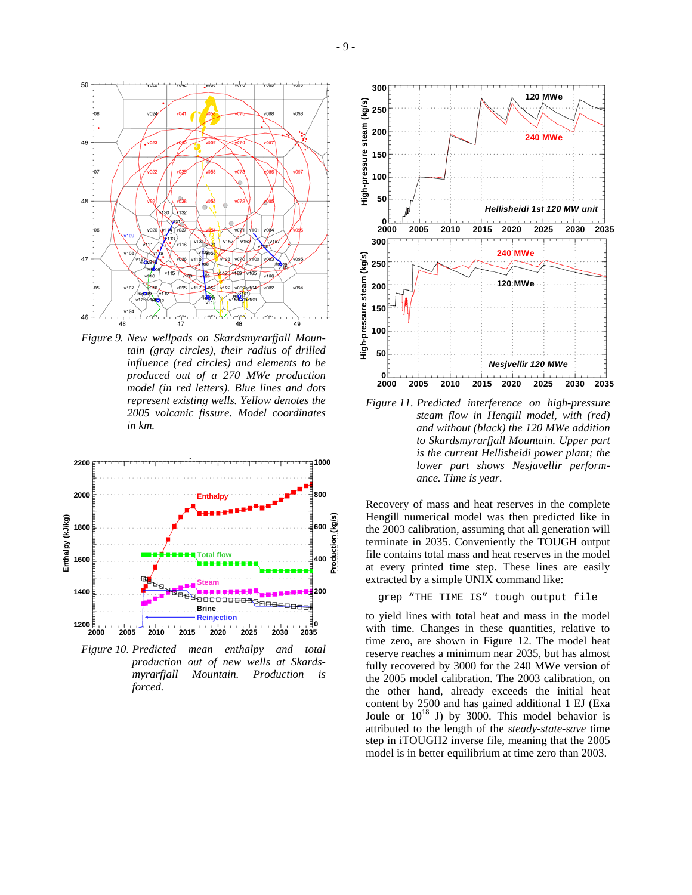

*Figure 9. New wellpads on Skardsmyrarfjall Mountain (gray circles), their radius of drilled influence (red circles) and elements to be produced out of a 270 MWe production model (in red letters). Blue lines and dots represent existing wells. Yellow denotes the 2005 volcanic fissure. Model coordinates in km.* 



*Figure 10. Predicted mean enthalpy and total production out of new wells at Skardsmyrarfjall Mountain. Production is forced.* 



*Figure 11. Predicted interference on high-pressure steam flow in Hengill model, with (red) and without (black) the 120 MWe addition to Skardsmyrarfjall Mountain. Upper part is the current Hellisheidi power plant; the lower part shows Nesjavellir performance. Time is year.* 

Recovery of mass and heat reserves in the complete Hengill numerical model was then predicted like in the 2003 calibration, assuming that all generation will terminate in 2035. Conveniently the TOUGH output file contains total mass and heat reserves in the model at every printed time step. These lines are easily extracted by a simple UNIX command like:

### grep "THE TIME IS" tough\_output\_file

to yield lines with total heat and mass in the model with time. Changes in these quantities, relative to time zero, are shown in Figure 12. The model heat reserve reaches a minimum near 2035, but has almost fully recovered by 3000 for the 240 MWe version of the 2005 model calibration. The 2003 calibration, on the other hand, already exceeds the initial heat content by 2500 and has gained additional 1 EJ (Exa Joule or  $10^{18}$  J) by 3000. This model behavior is attributed to the length of the *steady-state-save* time step in iTOUGH2 inverse file, meaning that the 2005 model is in better equilibrium at time zero than 2003.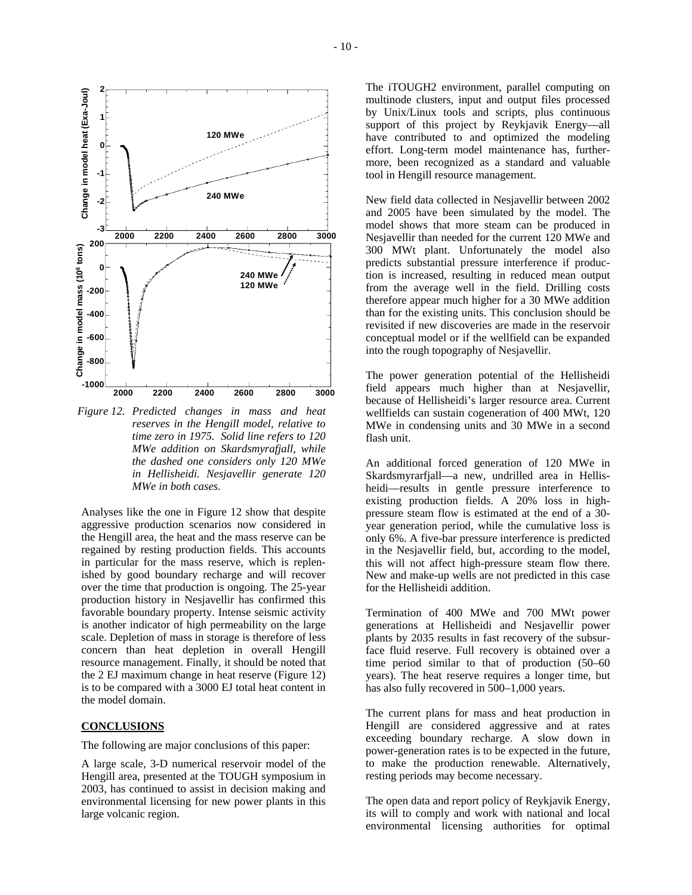

*Figure 12. Predicted changes in mass and heat reserves in the Hengill model, relative to time zero in 1975. Solid line refers to 120 MWe addition on Skardsmyrafjall, while the dashed one considers only 120 MWe in Hellisheidi. Nesjavellir generate 120 MWe in both cases.* 

Analyses like the one in Figure 12 show that despite aggressive production scenarios now considered in the Hengill area, the heat and the mass reserve can be regained by resting production fields. This accounts in particular for the mass reserve, which is replenished by good boundary recharge and will recover over the time that production is ongoing. The 25-year production history in Nesjavellir has confirmed this favorable boundary property. Intense seismic activity is another indicator of high permeability on the large scale. Depletion of mass in storage is therefore of less concern than heat depletion in overall Hengill resource management. Finally, it should be noted that the 2 EJ maximum change in heat reserve (Figure 12) is to be compared with a 3000 EJ total heat content in the model domain.

# **CONCLUSIONS**

The following are major conclusions of this paper:

A large scale, 3-D numerical reservoir model of the Hengill area, presented at the TOUGH symposium in 2003, has continued to assist in decision making and environmental licensing for new power plants in this large volcanic region.

The iTOUGH2 environment, parallel computing on multinode clusters, input and output files processed by Unix/Linux tools and scripts, plus continuous support of this project by Reykjavik Energy—all have contributed to and optimized the modeling effort. Long-term model maintenance has, furthermore, been recognized as a standard and valuable tool in Hengill resource management.

New field data collected in Nesjavellir between 2002 and 2005 have been simulated by the model. The model shows that more steam can be produced in Nesjavellir than needed for the current 120 MWe and 300 MWt plant. Unfortunately the model also predicts substantial pressure interference if production is increased, resulting in reduced mean output from the average well in the field. Drilling costs therefore appear much higher for a 30 MWe addition than for the existing units. This conclusion should be revisited if new discoveries are made in the reservoir conceptual model or if the wellfield can be expanded into the rough topography of Nesjavellir.

The power generation potential of the Hellisheidi field appears much higher than at Nesjavellir, because of Hellisheidi's larger resource area. Current wellfields can sustain cogeneration of 400 MWt, 120 MWe in condensing units and 30 MWe in a second flash unit.

An additional forced generation of 120 MWe in Skardsmyrarfjall—a new, undrilled area in Hellisheidi—results in gentle pressure interference to existing production fields. A 20% loss in highpressure steam flow is estimated at the end of a 30 year generation period, while the cumulative loss is only 6%. A five-bar pressure interference is predicted in the Nesjavellir field, but, according to the model, this will not affect high-pressure steam flow there. New and make-up wells are not predicted in this case for the Hellisheidi addition.

Termination of 400 MWe and 700 MWt power generations at Hellisheidi and Nesjavellir power plants by 2035 results in fast recovery of the subsurface fluid reserve. Full recovery is obtained over a time period similar to that of production (50–60 years). The heat reserve requires a longer time, but has also fully recovered in 500–1,000 years.

The current plans for mass and heat production in Hengill are considered aggressive and at rates exceeding boundary recharge. A slow down in power-generation rates is to be expected in the future, to make the production renewable. Alternatively, resting periods may become necessary.

The open data and report policy of Reykjavik Energy, its will to comply and work with national and local environmental licensing authorities for optimal